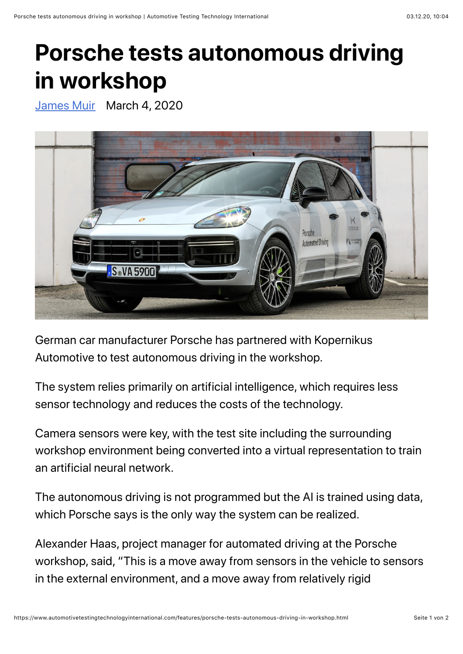## **Porsche tests autonomous driving in workshop**

[James Muir](https://www.automotivetestingtechnologyinternational.com/author/jamesmuir) March 4, 2020



German car manufacturer Porsche has partnered with Kopernikus Automotive to test autonomous driving in the workshop.

The system relies primarily on artificial intelligence, which requires less sensor technology and reduces the costs of the technology.

Camera sensors were key, with the test site including the surrounding workshop environment being converted into a virtual representation to train an artificial neural network.

The autonomous driving is not programmed but the AI is trained using data, which Porsche says is the only way the system can be realized.

Alexander Haas, project manager for automated driving at the Porsche workshop, said, "This is a move away from sensors in the vehicle to sensors in the external environment, and a move away from relatively rigid